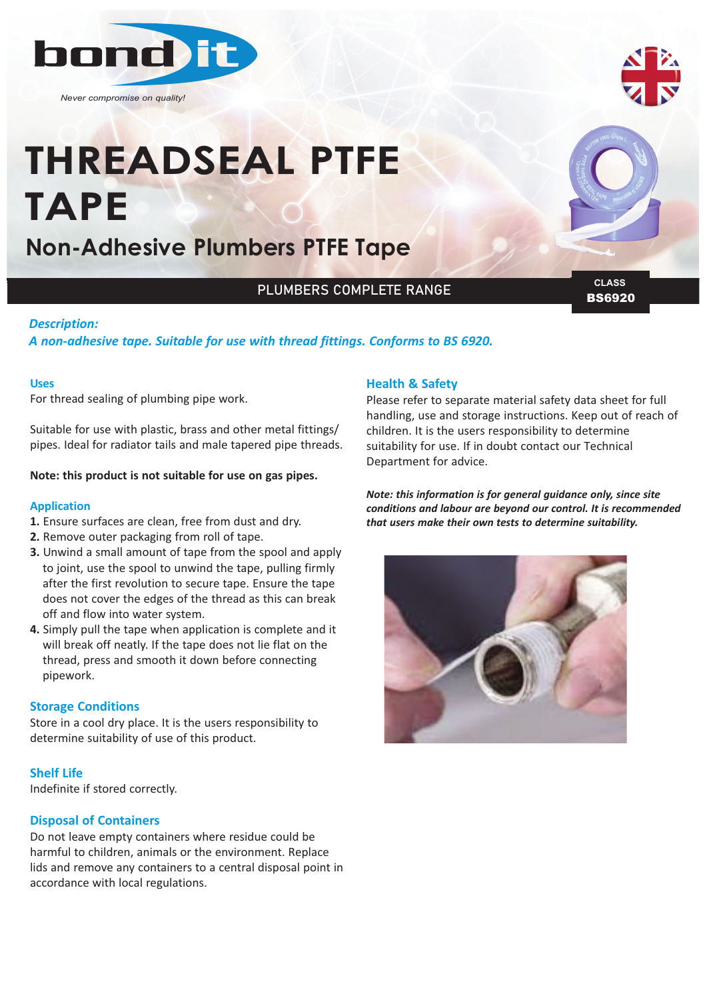

*Never compromise on quality!*



# **THREADSEAL PTFE TAPE**

## **Non-Adhesive Plumbers PTFE Tape**

#### PLUMBERS COMPLETE RANGE

BS6920 **CLASS**

#### *Description:*

#### *A non‐adhesive tape. Suitable for use with thread fittings. Conforms to BS 6920.*

#### **Uses**

For thread sealing of plumbing pipe work.

Suitable for use with plastic, brass and other metal fittings/ pipes. Ideal for radiator tails and male tapered pipe threads.

#### **Note: this product is not suitable for use on gas pipes.**

#### **Application**

- **1.** Ensure surfaces are clean, free from dust and dry.
- **2.** Remove outer packaging from roll of tape.
- **3.** Unwind a small amount of tape from the spool and apply to joint, use the spool to unwind the tape, pulling firmly after the first revolution to secure tape. Ensure the tape does not cover the edges of the thread as this can break off and flow into water system.
- **4.** Simply pull the tape when application is complete and it will break off neatly. If the tape does not lie flat on the thread, press and smooth it down before connecting pipework.

#### **Storage Conditions**

Store in a cool dry place. It is the users responsibility to determine suitability of use of this product.

#### **Shelf Life**

Indefinite if stored correctly.

#### **Disposal of Containers**

Do not leave empty containers where residue could be harmful to children, animals or the environment. Replace lids and remove any containers to a central disposal point in accordance with local regulations.

#### **Health & Safety**

Please refer to separate material safety data sheet for full handling, use and storage instructions. Keep out of reach of children. It is the users responsibility to determine suitability for use. If in doubt contact our Technical Department for advice.

*Note: this information is for general guidance only, since site conditions and labour are beyond our control. It is recommended that users make their own tests to determine suitability.*